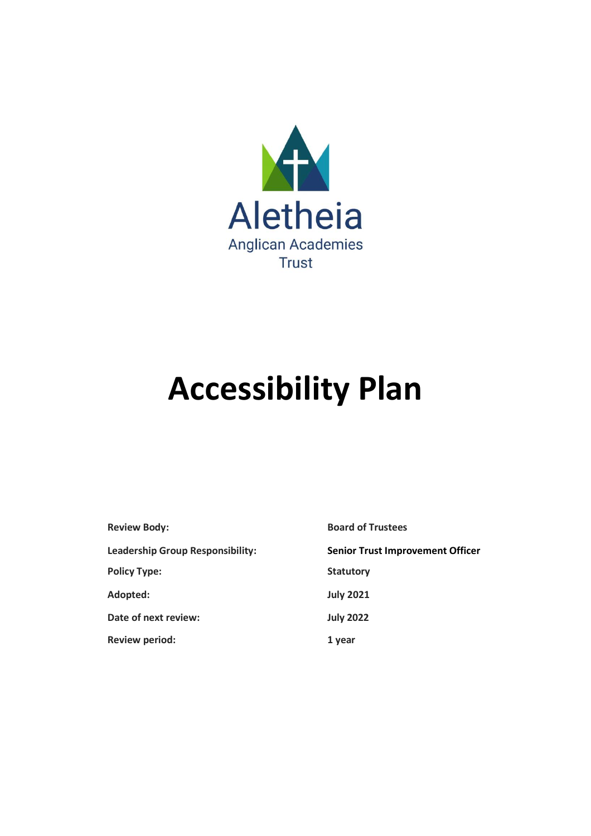

# **Accessibility Plan**

| <b>Review Body:</b>                     | <b>Board of Trustees</b>                |
|-----------------------------------------|-----------------------------------------|
| <b>Leadership Group Responsibility:</b> | <b>Senior Trust Improvement Officer</b> |
| <b>Policy Type:</b>                     | <b>Statutory</b>                        |
| Adopted:                                | <b>July 2021</b>                        |
| Date of next review:                    | <b>July 2022</b>                        |
| <b>Review period:</b>                   | 1 year                                  |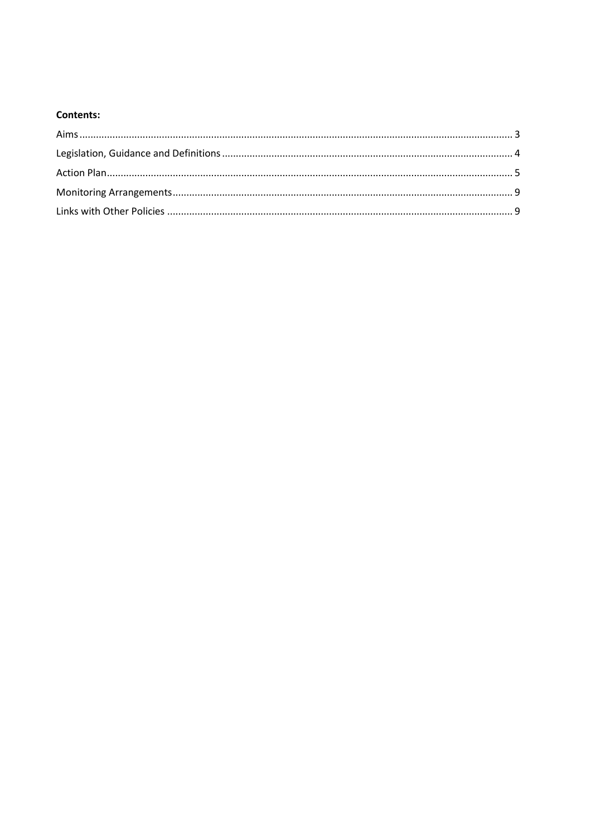### **Contents:**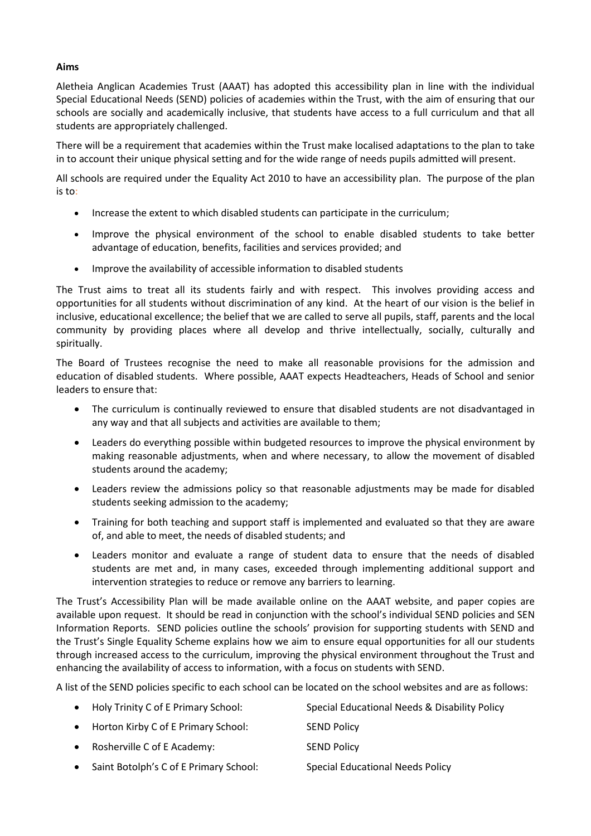#### **Aims**

Aletheia Anglican Academies Trust (AAAT) has adopted this accessibility plan in line with the individual Special Educational Needs (SEND) policies of academies within the Trust, with the aim of ensuring that our schools are socially and academically inclusive, that students have access to a full curriculum and that all students are appropriately challenged.

There will be a requirement that academies within the Trust make localised adaptations to the plan to take in to account their unique physical setting and for the wide range of needs pupils admitted will present.

All schools are required under the Equality Act 2010 to have an accessibility plan. The purpose of the plan is to:

- Increase the extent to which disabled students can participate in the curriculum;
- Improve the physical environment of the school to enable disabled students to take better advantage of education, benefits, facilities and services provided; and
- Improve the availability of accessible information to disabled students

The Trust aims to treat all its students fairly and with respect. This involves providing access and opportunities for all students without discrimination of any kind. At the heart of our vision is the belief in inclusive, educational excellence; the belief that we are called to serve all pupils, staff, parents and the local community by providing places where all develop and thrive intellectually, socially, culturally and spiritually.

The Board of Trustees recognise the need to make all reasonable provisions for the admission and education of disabled students. Where possible, AAAT expects Headteachers, Heads of School and senior leaders to ensure that:

- The curriculum is continually reviewed to ensure that disabled students are not disadvantaged in any way and that all subjects and activities are available to them;
- Leaders do everything possible within budgeted resources to improve the physical environment by making reasonable adjustments, when and where necessary, to allow the movement of disabled students around the academy;
- Leaders review the admissions policy so that reasonable adjustments may be made for disabled students seeking admission to the academy;
- Training for both teaching and support staff is implemented and evaluated so that they are aware of, and able to meet, the needs of disabled students; and
- Leaders monitor and evaluate a range of student data to ensure that the needs of disabled students are met and, in many cases, exceeded through implementing additional support and intervention strategies to reduce or remove any barriers to learning.

The Trust's Accessibility Plan will be made available online on the AAAT website, and paper copies are available upon request. It should be read in conjunction with the school's individual SEND policies and SEN Information Reports. SEND policies outline the schools' provision for supporting students with SEND and the Trust's Single Equality Scheme explains how we aim to ensure equal opportunities for all our students through increased access to the curriculum, improving the physical environment throughout the Trust and enhancing the availability of access to information, with a focus on students with SEND.

A list of the SEND policies specific to each school can be located on the school websites and are as follows:

|           | • Holy Trinity C of E Primary School:  | Special Educational Needs & Disability Policy |
|-----------|----------------------------------------|-----------------------------------------------|
|           | • Horton Kirby C of E Primary School:  | <b>SEND Policy</b>                            |
|           | • Rosherville C of E Academy:          | <b>SEND Policy</b>                            |
| $\bullet$ | Saint Botolph's C of E Primary School: | <b>Special Educational Needs Policy</b>       |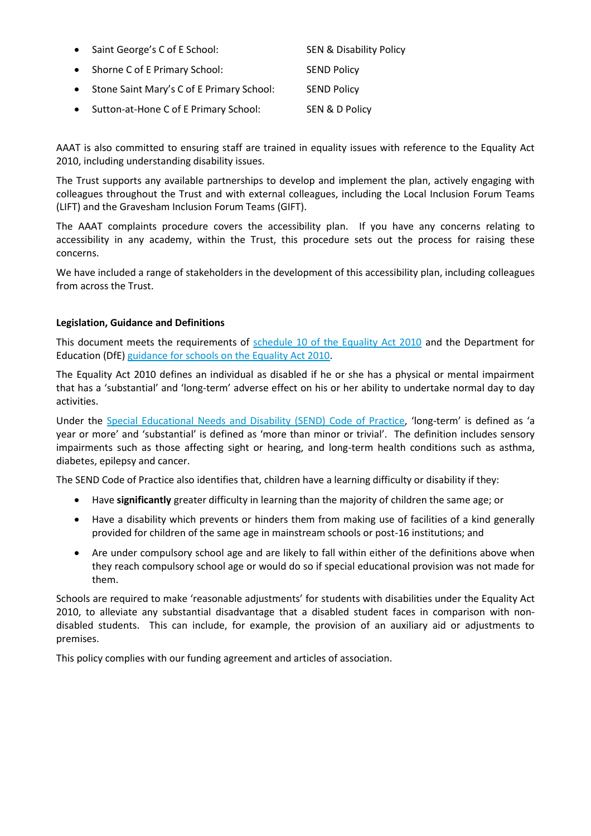| Saint George's C of E School:             | <b>SEN &amp; Disability Policy</b> |
|-------------------------------------------|------------------------------------|
| Shorne C of E Primary School:             | <b>SEND Policy</b>                 |
| Stone Saint Mary's C of E Primary School: | <b>SEND Policy</b>                 |
| Sutton-at-Hone C of E Primary School:     | SEN & D Policy                     |

AAAT is also committed to ensuring staff are trained in equality issues with reference to the Equality Act 2010, including understanding disability issues.

The Trust supports any available partnerships to develop and implement the plan, actively engaging with colleagues throughout the Trust and with external colleagues, including the Local Inclusion Forum Teams (LIFT) and the Gravesham Inclusion Forum Teams (GIFT).

The AAAT complaints procedure covers the accessibility plan. If you have any concerns relating to accessibility in any academy, within the Trust, this procedure sets out the process for raising these concerns.

We have included a range of stakeholders in the development of this accessibility plan, including colleagues from across the Trust.

#### **Legislation, Guidance and Definitions**

This document meets the requirements of [schedule 10 of the Equality Act 2010](http://www.legislation.gov.uk/ukpga/2010/15/schedule/10) and the Department for Education (DfE[\) guidance for schools on the Equality Act 2010.](https://www.gov.uk/government/publications/equality-act-2010-advice-for-schools)

The Equality Act 2010 defines an individual as disabled if he or she has a physical or mental impairment that has a 'substantial' and 'long-term' adverse effect on his or her ability to undertake normal day to day activities.

Under the [Special Educational Needs and Disability](https://www.gov.uk/government/publications/send-code-of-practice-0-to-25) (SEND) Code of Practice, 'long-term' is defined as 'a year or more' and 'substantial' is defined as 'more than minor or trivial'. The definition includes sensory impairments such as those affecting sight or hearing, and long-term health conditions such as asthma, diabetes, epilepsy and cancer.

The SEND Code of Practice also identifies that, children have a learning difficulty or disability if they:

- Have **significantly** greater difficulty in learning than the majority of children the same age; or
- Have a disability which prevents or hinders them from making use of facilities of a kind generally provided for children of the same age in mainstream schools or post-16 institutions; and
- Are under compulsory school age and are likely to fall within either of the definitions above when they reach compulsory school age or would do so if special educational provision was not made for them.

Schools are required to make 'reasonable adjustments' for students with disabilities under the Equality Act 2010, to alleviate any substantial disadvantage that a disabled student faces in comparison with nondisabled students. This can include, for example, the provision of an auxiliary aid or adjustments to premises.

This policy complies with our funding agreement and articles of association.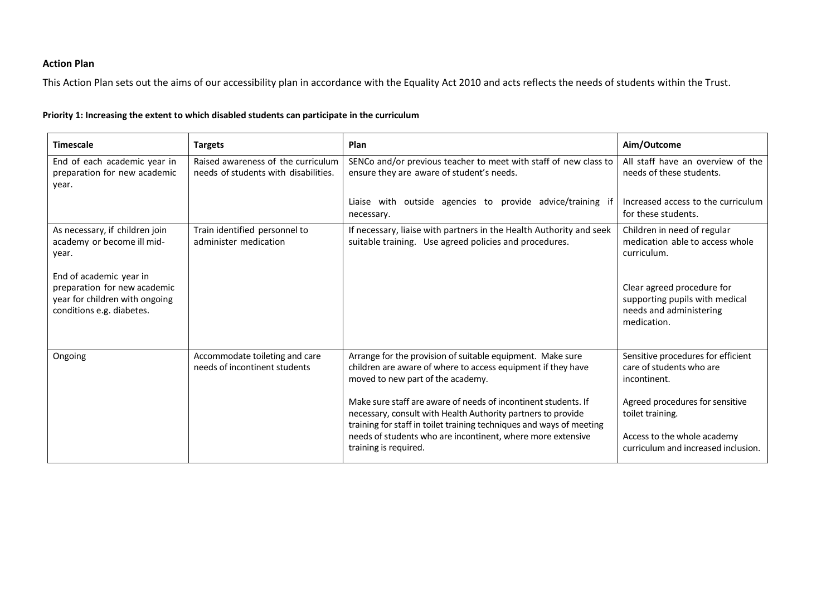## **Action Plan**

This Action Plan sets out the aims of our accessibility plan in accordance with the Equality Act 2010 and acts reflects the needs of students within the Trust.

| <b>Timescale</b>                                                                                                       | <b>Targets</b>                                                             | Plan                                                                                                                                                                                                   | Aim/Outcome                                                                                            |
|------------------------------------------------------------------------------------------------------------------------|----------------------------------------------------------------------------|--------------------------------------------------------------------------------------------------------------------------------------------------------------------------------------------------------|--------------------------------------------------------------------------------------------------------|
| End of each academic year in<br>preparation for new academic<br>year.                                                  | Raised awareness of the curriculum<br>needs of students with disabilities. | SENCo and/or previous teacher to meet with staff of new class to<br>ensure they are aware of student's needs.                                                                                          | All staff have an overview of the<br>needs of these students.                                          |
|                                                                                                                        |                                                                            | Liaise with outside agencies to provide advice/training if<br>necessary.                                                                                                                               | Increased access to the curriculum<br>for these students.                                              |
| As necessary, if children join<br>academy or become ill mid-<br>year.                                                  | Train identified personnel to<br>administer medication                     | If necessary, liaise with partners in the Health Authority and seek<br>suitable training. Use agreed policies and procedures.                                                                          | Children in need of regular<br>medication able to access whole<br>curriculum.                          |
| End of academic year in<br>preparation for new academic<br>year for children with ongoing<br>conditions e.g. diabetes. |                                                                            |                                                                                                                                                                                                        | Clear agreed procedure for<br>supporting pupils with medical<br>needs and administering<br>medication. |
| Ongoing                                                                                                                | Accommodate toileting and care<br>needs of incontinent students            | Arrange for the provision of suitable equipment. Make sure<br>children are aware of where to access equipment if they have<br>moved to new part of the academy.                                        | Sensitive procedures for efficient<br>care of students who are<br>incontinent.                         |
|                                                                                                                        |                                                                            | Make sure staff are aware of needs of incontinent students. If<br>necessary, consult with Health Authority partners to provide<br>training for staff in toilet training techniques and ways of meeting | Agreed procedures for sensitive<br>toilet training.                                                    |
|                                                                                                                        |                                                                            | needs of students who are incontinent, where more extensive<br>training is required.                                                                                                                   | Access to the whole academy<br>curriculum and increased inclusion.                                     |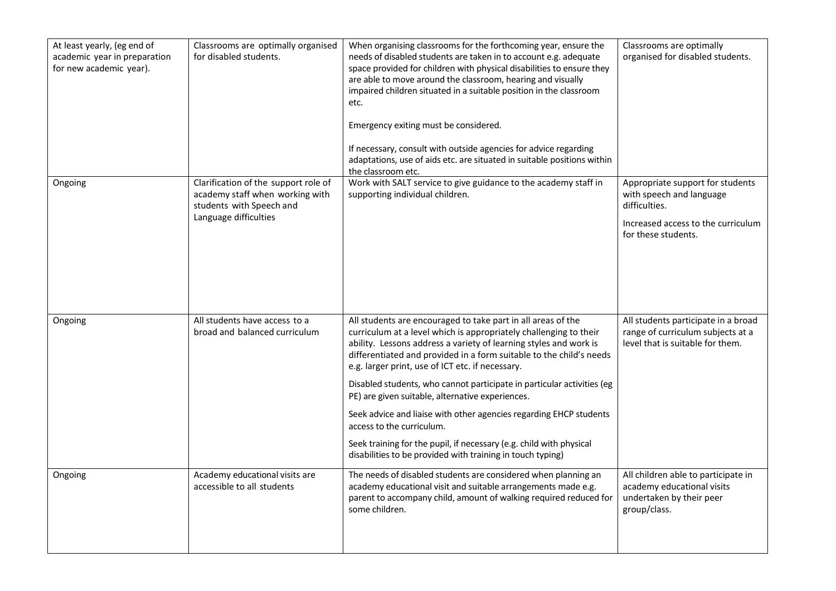| At least yearly, (eg end of<br>academic year in preparation<br>for new academic year). | Classrooms are optimally organised<br>for disabled students.                                                                 | When organising classrooms for the forthcoming year, ensure the<br>needs of disabled students are taken in to account e.g. adequate<br>space provided for children with physical disabilities to ensure they<br>are able to move around the classroom, hearing and visually<br>impaired children situated in a suitable position in the classroom<br>etc.<br>Emergency exiting must be considered.<br>If necessary, consult with outside agencies for advice regarding<br>adaptations, use of aids etc. are situated in suitable positions within<br>the classroom etc.                                                                                                                                 | Classrooms are optimally<br>organised for disabled students.                                                                               |
|----------------------------------------------------------------------------------------|------------------------------------------------------------------------------------------------------------------------------|---------------------------------------------------------------------------------------------------------------------------------------------------------------------------------------------------------------------------------------------------------------------------------------------------------------------------------------------------------------------------------------------------------------------------------------------------------------------------------------------------------------------------------------------------------------------------------------------------------------------------------------------------------------------------------------------------------|--------------------------------------------------------------------------------------------------------------------------------------------|
| Ongoing                                                                                | Clarification of the support role of<br>academy staff when working with<br>students with Speech and<br>Language difficulties | Work with SALT service to give guidance to the academy staff in<br>supporting individual children.                                                                                                                                                                                                                                                                                                                                                                                                                                                                                                                                                                                                      | Appropriate support for students<br>with speech and language<br>difficulties.<br>Increased access to the curriculum<br>for these students. |
| Ongoing                                                                                | All students have access to a<br>broad and balanced curriculum                                                               | All students are encouraged to take part in all areas of the<br>curriculum at a level which is appropriately challenging to their<br>ability. Lessons address a variety of learning styles and work is<br>differentiated and provided in a form suitable to the child's needs<br>e.g. larger print, use of ICT etc. if necessary.<br>Disabled students, who cannot participate in particular activities (eg<br>PE) are given suitable, alternative experiences.<br>Seek advice and liaise with other agencies regarding EHCP students<br>access to the curriculum.<br>Seek training for the pupil, if necessary (e.g. child with physical<br>disabilities to be provided with training in touch typing) | All students participate in a broad<br>range of curriculum subjects at a<br>level that is suitable for them.                               |
| Ongoing                                                                                | Academy educational visits are<br>accessible to all students                                                                 | The needs of disabled students are considered when planning an<br>academy educational visit and suitable arrangements made e.g.<br>parent to accompany child, amount of walking required reduced for<br>some children.                                                                                                                                                                                                                                                                                                                                                                                                                                                                                  | All children able to participate in<br>academy educational visits<br>undertaken by their peer<br>group/class.                              |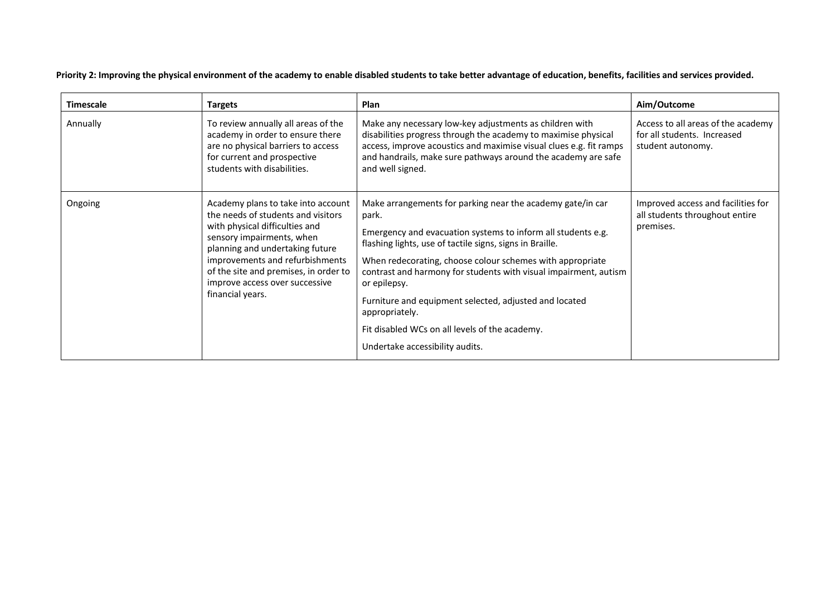**Priority 2: Improving the physical environment of the academy to enable disabled students to take better advantage of education, benefits, facilities and services provided.**

| <b>Timescale</b> | <b>Targets</b>                                                                                                                                                                                                                                                                                               | <b>Plan</b>                                                                                                                                                                                                                                                                                                                                                                                                                                                                                                       | Aim/Outcome                                                                            |
|------------------|--------------------------------------------------------------------------------------------------------------------------------------------------------------------------------------------------------------------------------------------------------------------------------------------------------------|-------------------------------------------------------------------------------------------------------------------------------------------------------------------------------------------------------------------------------------------------------------------------------------------------------------------------------------------------------------------------------------------------------------------------------------------------------------------------------------------------------------------|----------------------------------------------------------------------------------------|
| Annually         | To review annually all areas of the<br>academy in order to ensure there<br>are no physical barriers to access<br>for current and prospective<br>students with disabilities.                                                                                                                                  | Make any necessary low-key adjustments as children with<br>disabilities progress through the academy to maximise physical<br>access, improve acoustics and maximise visual clues e.g. fit ramps<br>and handrails, make sure pathways around the academy are safe<br>and well signed.                                                                                                                                                                                                                              | Access to all areas of the academy<br>for all students. Increased<br>student autonomy. |
| Ongoing          | Academy plans to take into account<br>the needs of students and visitors<br>with physical difficulties and<br>sensory impairments, when<br>planning and undertaking future<br>improvements and refurbishments<br>of the site and premises, in order to<br>improve access over successive<br>financial years. | Make arrangements for parking near the academy gate/in car<br>park.<br>Emergency and evacuation systems to inform all students e.g.<br>flashing lights, use of tactile signs, signs in Braille.<br>When redecorating, choose colour schemes with appropriate<br>contrast and harmony for students with visual impairment, autism<br>or epilepsy.<br>Furniture and equipment selected, adjusted and located<br>appropriately.<br>Fit disabled WCs on all levels of the academy.<br>Undertake accessibility audits. | Improved access and facilities for<br>all students throughout entire<br>premises.      |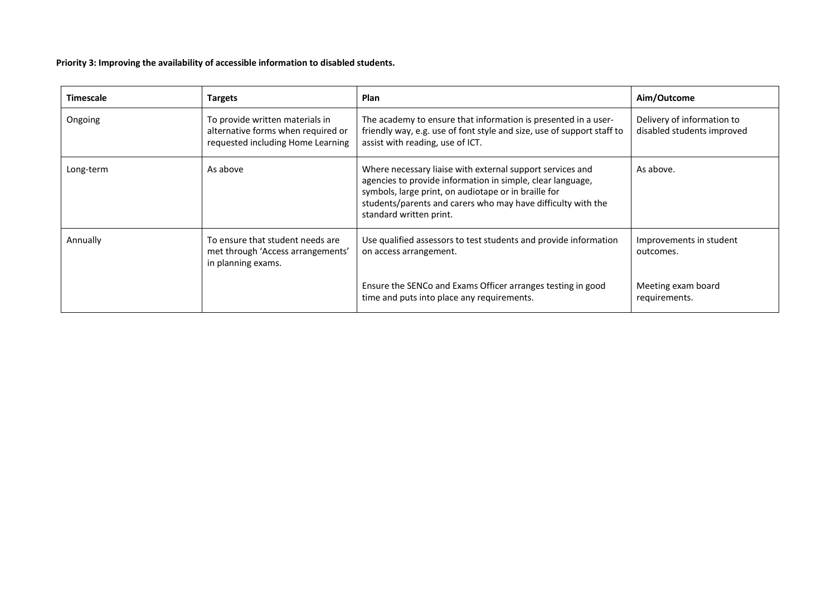**Priority 3: Improving the availability of accessible information to disabled students.**

| <b>Timescale</b> | <b>Targets</b>                                                                                             | <b>Plan</b>                                                                                                                                                                                                                                                                | Aim/Outcome                                              |
|------------------|------------------------------------------------------------------------------------------------------------|----------------------------------------------------------------------------------------------------------------------------------------------------------------------------------------------------------------------------------------------------------------------------|----------------------------------------------------------|
| Ongoing          | To provide written materials in<br>alternative forms when required or<br>requested including Home Learning | The academy to ensure that information is presented in a user-<br>friendly way, e.g. use of font style and size, use of support staff to<br>assist with reading, use of ICT.                                                                                               | Delivery of information to<br>disabled students improved |
| Long-term        | As above                                                                                                   | Where necessary liaise with external support services and<br>agencies to provide information in simple, clear language,<br>symbols, large print, on audiotape or in braille for<br>students/parents and carers who may have difficulty with the<br>standard written print. | As above.                                                |
| Annually         | To ensure that student needs are<br>met through 'Access arrangements'<br>in planning exams.                | Use qualified assessors to test students and provide information<br>on access arrangement.                                                                                                                                                                                 | Improvements in student<br>outcomes.                     |
|                  |                                                                                                            | Ensure the SENCo and Exams Officer arranges testing in good<br>time and puts into place any requirements.                                                                                                                                                                  | Meeting exam board<br>requirements.                      |